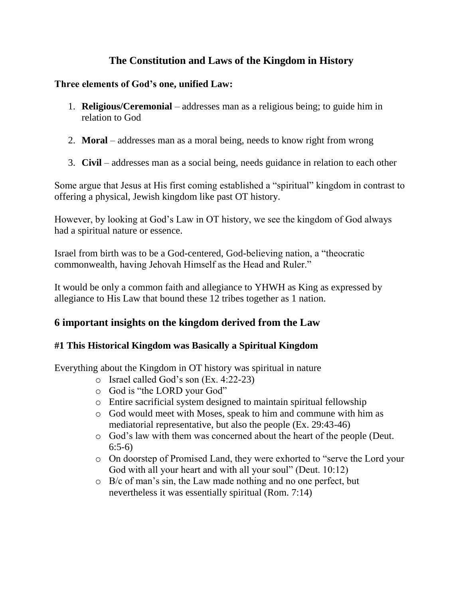# **The Constitution and Laws of the Kingdom in History**

### **Three elements of God's one, unified Law:**

- 1. **Religious/Ceremonial** addresses man as a religious being; to guide him in relation to God
- 2. **Moral** addresses man as a moral being, needs to know right from wrong
- 3. **Civil** addresses man as a social being, needs guidance in relation to each other

Some argue that Jesus at His first coming established a "spiritual" kingdom in contrast to offering a physical, Jewish kingdom like past OT history.

However, by looking at God's Law in OT history, we see the kingdom of God always had a spiritual nature or essence.

Israel from birth was to be a God-centered, God-believing nation, a "theocratic commonwealth, having Jehovah Himself as the Head and Ruler."

It would be only a common faith and allegiance to YHWH as King as expressed by allegiance to His Law that bound these 12 tribes together as 1 nation.

### **6 important insights on the kingdom derived from the Law**

### **#1 This Historical Kingdom was Basically a Spiritual Kingdom**

Everything about the Kingdom in OT history was spiritual in nature

- o Israel called God's son (Ex. 4:22-23)
- o God is "the LORD your God"
- o Entire sacrificial system designed to maintain spiritual fellowship
- o God would meet with Moses, speak to him and commune with him as mediatorial representative, but also the people (Ex. 29:43-46)
- o God's law with them was concerned about the heart of the people (Deut. 6:5-6)
- o On doorstep of Promised Land, they were exhorted to "serve the Lord your God with all your heart and with all your soul" (Deut. 10:12)
- o B/c of man's sin, the Law made nothing and no one perfect, but nevertheless it was essentially spiritual (Rom. 7:14)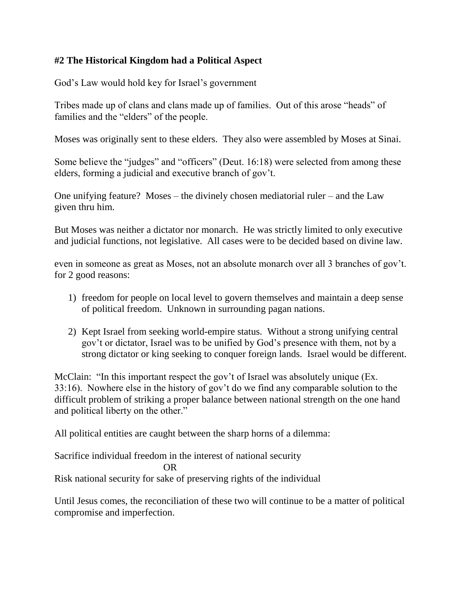### **#2 The Historical Kingdom had a Political Aspect**

God's Law would hold key for Israel's government

Tribes made up of clans and clans made up of families. Out of this arose "heads" of families and the "elders" of the people.

Moses was originally sent to these elders. They also were assembled by Moses at Sinai.

Some believe the "judges" and "officers" (Deut. 16:18) were selected from among these elders, forming a judicial and executive branch of gov't.

One unifying feature? Moses – the divinely chosen mediatorial ruler – and the Law given thru him.

But Moses was neither a dictator nor monarch. He was strictly limited to only executive and judicial functions, not legislative. All cases were to be decided based on divine law.

even in someone as great as Moses, not an absolute monarch over all 3 branches of gov't. for 2 good reasons:

- 1) freedom for people on local level to govern themselves and maintain a deep sense of political freedom. Unknown in surrounding pagan nations.
- 2) Kept Israel from seeking world-empire status. Without a strong unifying central gov't or dictator, Israel was to be unified by God's presence with them, not by a strong dictator or king seeking to conquer foreign lands. Israel would be different.

McClain: "In this important respect the gov't of Israel was absolutely unique (Ex. 33:16). Nowhere else in the history of gov't do we find any comparable solution to the difficult problem of striking a proper balance between national strength on the one hand and political liberty on the other."

All political entities are caught between the sharp horns of a dilemma:

Sacrifice individual freedom in the interest of national security OR

Risk national security for sake of preserving rights of the individual

Until Jesus comes, the reconciliation of these two will continue to be a matter of political compromise and imperfection.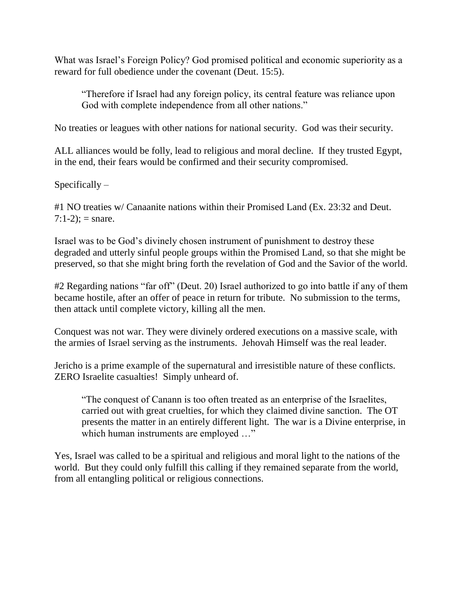What was Israel's Foreign Policy? God promised political and economic superiority as a reward for full obedience under the covenant (Deut. 15:5).

"Therefore if Israel had any foreign policy, its central feature was reliance upon God with complete independence from all other nations."

No treaties or leagues with other nations for national security. God was their security.

ALL alliances would be folly, lead to religious and moral decline. If they trusted Egypt, in the end, their fears would be confirmed and their security compromised.

 $Specifically -$ 

#1 NO treaties w/ Canaanite nations within their Promised Land (Ex. 23:32 and Deut.  $7:1-2$ ; = snare.

Israel was to be God's divinely chosen instrument of punishment to destroy these degraded and utterly sinful people groups within the Promised Land, so that she might be preserved, so that she might bring forth the revelation of God and the Savior of the world.

#2 Regarding nations "far off" (Deut. 20) Israel authorized to go into battle if any of them became hostile, after an offer of peace in return for tribute. No submission to the terms, then attack until complete victory, killing all the men.

Conquest was not war. They were divinely ordered executions on a massive scale, with the armies of Israel serving as the instruments. Jehovah Himself was the real leader.

Jericho is a prime example of the supernatural and irresistible nature of these conflicts. ZERO Israelite casualties! Simply unheard of.

"The conquest of Canann is too often treated as an enterprise of the Israelites, carried out with great cruelties, for which they claimed divine sanction. The OT presents the matter in an entirely different light. The war is a Divine enterprise, in which human instruments are employed ..."

Yes, Israel was called to be a spiritual and religious and moral light to the nations of the world. But they could only fulfill this calling if they remained separate from the world, from all entangling political or religious connections.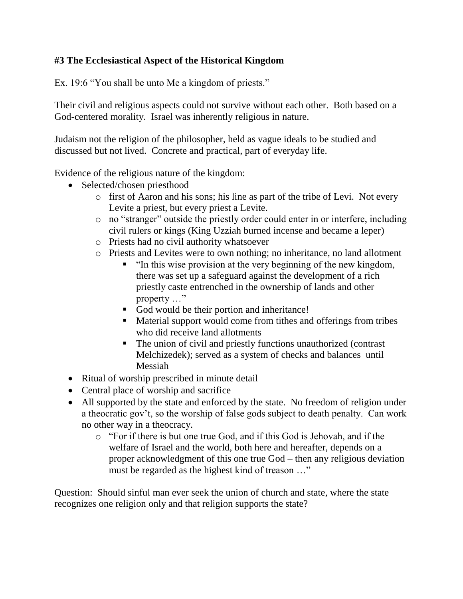## **#3 The Ecclesiastical Aspect of the Historical Kingdom**

Ex. 19:6 "You shall be unto Me a kingdom of priests."

Their civil and religious aspects could not survive without each other. Both based on a God-centered morality. Israel was inherently religious in nature.

Judaism not the religion of the philosopher, held as vague ideals to be studied and discussed but not lived. Concrete and practical, part of everyday life.

Evidence of the religious nature of the kingdom:

- Selected/chosen priesthood
	- o first of Aaron and his sons; his line as part of the tribe of Levi. Not every Levite a priest, but every priest a Levite.
	- o no "stranger" outside the priestly order could enter in or interfere, including civil rulers or kings (King Uzziah burned incense and became a leper)
	- o Priests had no civil authority whatsoever
	- o Priests and Levites were to own nothing; no inheritance, no land allotment
		- "In this wise provision at the very beginning of the new kingdom, there was set up a safeguard against the development of a rich priestly caste entrenched in the ownership of lands and other property …"
		- God would be their portion and inheritance!
		- Material support would come from tithes and offerings from tribes who did receive land allotments
		- The union of civil and priestly functions unauthorized (contrast) Melchizedek); served as a system of checks and balances until Messiah
- Ritual of worship prescribed in minute detail
- Central place of worship and sacrifice
- All supported by the state and enforced by the state. No freedom of religion under a theocratic gov't, so the worship of false gods subject to death penalty. Can work no other way in a theocracy.
	- o "For if there is but one true God, and if this God is Jehovah, and if the welfare of Israel and the world, both here and hereafter, depends on a proper acknowledgment of this one true God – then any religious deviation must be regarded as the highest kind of treason …"

Question: Should sinful man ever seek the union of church and state, where the state recognizes one religion only and that religion supports the state?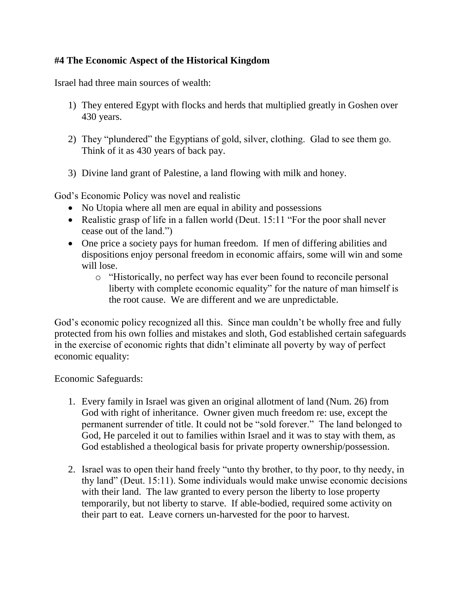### **#4 The Economic Aspect of the Historical Kingdom**

Israel had three main sources of wealth:

- 1) They entered Egypt with flocks and herds that multiplied greatly in Goshen over 430 years.
- 2) They "plundered" the Egyptians of gold, silver, clothing. Glad to see them go. Think of it as 430 years of back pay.
- 3) Divine land grant of Palestine, a land flowing with milk and honey.

God's Economic Policy was novel and realistic

- No Utopia where all men are equal in ability and possessions
- Realistic grasp of life in a fallen world (Deut. 15:11 "For the poor shall never cease out of the land.")
- One price a society pays for human freedom. If men of differing abilities and dispositions enjoy personal freedom in economic affairs, some will win and some will lose.
	- o "Historically, no perfect way has ever been found to reconcile personal liberty with complete economic equality" for the nature of man himself is the root cause. We are different and we are unpredictable.

God's economic policy recognized all this. Since man couldn't be wholly free and fully protected from his own follies and mistakes and sloth, God established certain safeguards in the exercise of economic rights that didn't eliminate all poverty by way of perfect economic equality:

Economic Safeguards:

- 1. Every family in Israel was given an original allotment of land (Num. 26) from God with right of inheritance. Owner given much freedom re: use, except the permanent surrender of title. It could not be "sold forever." The land belonged to God, He parceled it out to families within Israel and it was to stay with them, as God established a theological basis for private property ownership/possession.
- 2. Israel was to open their hand freely "unto thy brother, to thy poor, to thy needy, in thy land" (Deut. 15:11). Some individuals would make unwise economic decisions with their land. The law granted to every person the liberty to lose property temporarily, but not liberty to starve. If able-bodied, required some activity on their part to eat. Leave corners un-harvested for the poor to harvest.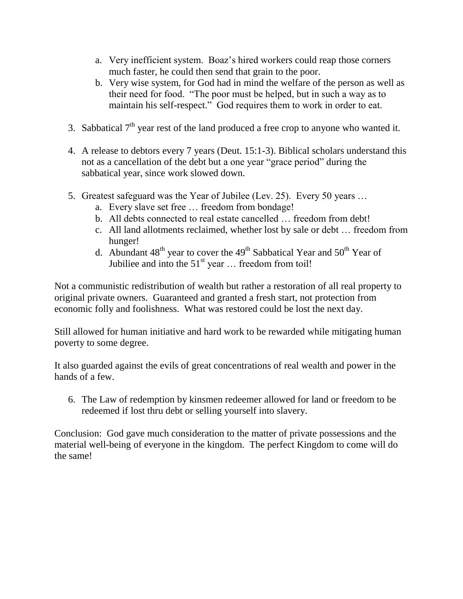- a. Very inefficient system. Boaz's hired workers could reap those corners much faster, he could then send that grain to the poor.
- b. Very wise system, for God had in mind the welfare of the person as well as their need for food. "The poor must be helped, but in such a way as to maintain his self-respect." God requires them to work in order to eat.
- 3. Sabbatical  $7<sup>th</sup>$  year rest of the land produced a free crop to anyone who wanted it.
- 4. A release to debtors every 7 years (Deut. 15:1-3). Biblical scholars understand this not as a cancellation of the debt but a one year "grace period" during the sabbatical year, since work slowed down.
- 5. Greatest safeguard was the Year of Jubilee (Lev. 25). Every 50 years …
	- a. Every slave set free … freedom from bondage!
	- b. All debts connected to real estate cancelled … freedom from debt!
	- c. All land allotments reclaimed, whether lost by sale or debt … freedom from hunger!
	- d. Abundant  $48<sup>th</sup>$  year to cover the  $49<sup>th</sup>$  Sabbatical Year and  $50<sup>th</sup>$  Year of Jubiliee and into the  $51<sup>st</sup>$  year  $\ldots$  freedom from toil!

Not a communistic redistribution of wealth but rather a restoration of all real property to original private owners. Guaranteed and granted a fresh start, not protection from economic folly and foolishness. What was restored could be lost the next day.

Still allowed for human initiative and hard work to be rewarded while mitigating human poverty to some degree.

It also guarded against the evils of great concentrations of real wealth and power in the hands of a few.

6. The Law of redemption by kinsmen redeemer allowed for land or freedom to be redeemed if lost thru debt or selling yourself into slavery.

Conclusion: God gave much consideration to the matter of private possessions and the material well-being of everyone in the kingdom. The perfect Kingdom to come will do the same!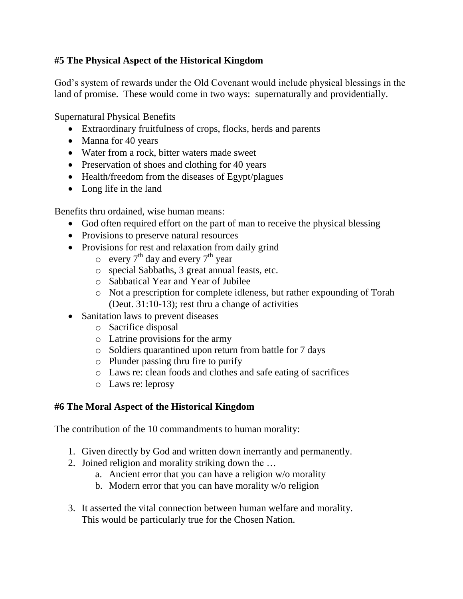### **#5 The Physical Aspect of the Historical Kingdom**

God's system of rewards under the Old Covenant would include physical blessings in the land of promise. These would come in two ways: supernaturally and providentially.

Supernatural Physical Benefits

- Extraordinary fruitfulness of crops, flocks, herds and parents
- Manna for 40 years
- Water from a rock, bitter waters made sweet
- Preservation of shoes and clothing for 40 years
- Health/freedom from the diseases of Egypt/plagues
- Long life in the land

Benefits thru ordained, wise human means:

- God often required effort on the part of man to receive the physical blessing
- Provisions to preserve natural resources
- Provisions for rest and relaxation from daily grind
	- $\circ$  every 7<sup>th</sup> day and every 7<sup>th</sup> year
	- o special Sabbaths, 3 great annual feasts, etc.
	- o Sabbatical Year and Year of Jubilee
	- o Not a prescription for complete idleness, but rather expounding of Torah (Deut. 31:10-13); rest thru a change of activities
- Sanitation laws to prevent diseases
	- o Sacrifice disposal
	- o Latrine provisions for the army
	- o Soldiers quarantined upon return from battle for 7 days
	- o Plunder passing thru fire to purify
	- o Laws re: clean foods and clothes and safe eating of sacrifices
	- o Laws re: leprosy

### **#6 The Moral Aspect of the Historical Kingdom**

The contribution of the 10 commandments to human morality:

- 1. Given directly by God and written down inerrantly and permanently.
- 2. Joined religion and morality striking down the …
	- a. Ancient error that you can have a religion w/o morality
	- b. Modern error that you can have morality w/o religion
- 3. It asserted the vital connection between human welfare and morality. This would be particularly true for the Chosen Nation.